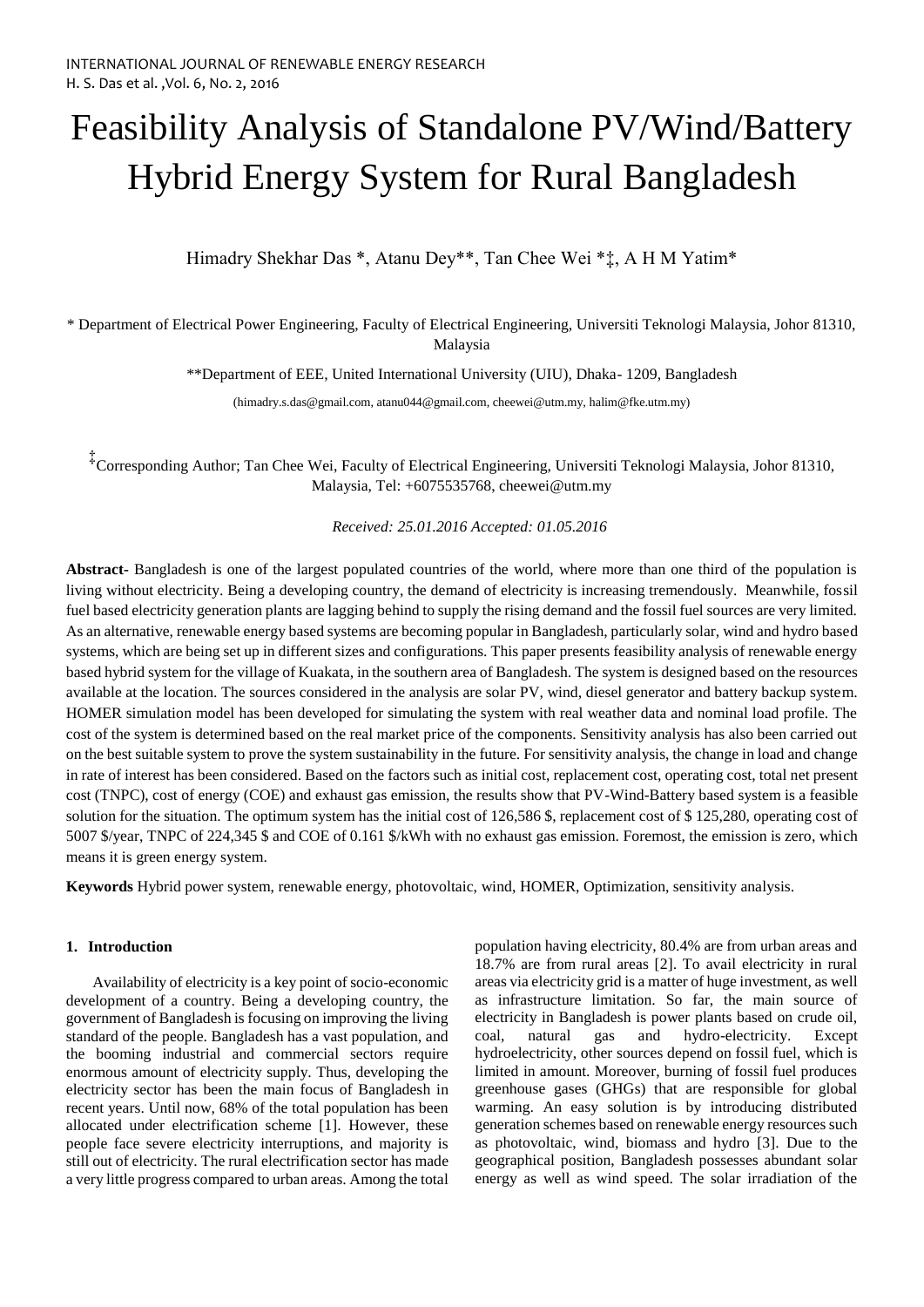# Feasibility Analysis of Standalone PV/Wind/Battery Hybrid Energy System for Rural Bangladesh

Himadry Shekhar Das \*, Atanu Dey\*\*, Tan Chee Wei \*‡, A H M Yatim\*

\* Department of Electrical Power Engineering, Faculty of Electrical Engineering, Universiti Teknologi Malaysia, Johor 81310, Malaysia

\*\*Department of EEE, United International University (UIU), Dhaka- 1209, Bangladesh

(himadry.s.das@gmail.com, atanu044@gmail.com, cheewei@utm.my, halim@fke.utm.my)

‡ Corresponding Author; Tan Chee Wei, Faculty of Electrical Engineering, Universiti Teknologi Malaysia, Johor 81310, Malaysia, Tel: +6075535768, cheewei@utm.my

*Received: 25.01.2016 Accepted: 01.05.2016*

**Abstract-** Bangladesh is one of the largest populated countries of the world, where more than one third of the population is living without electricity. Being a developing country, the demand of electricity is increasing tremendously. Meanwhile, fossil fuel based electricity generation plants are lagging behind to supply the rising demand and the fossil fuel sources are very limited. As an alternative, renewable energy based systems are becoming popular in Bangladesh, particularly solar, wind and hydro based systems, which are being set up in different sizes and configurations. This paper presents feasibility analysis of renewable energy based hybrid system for the village of Kuakata, in the southern area of Bangladesh. The system is designed based on the resources available at the location. The sources considered in the analysis are solar PV, wind, diesel generator and battery backup system. HOMER simulation model has been developed for simulating the system with real weather data and nominal load profile. The cost of the system is determined based on the real market price of the components. Sensitivity analysis has also been carried out on the best suitable system to prove the system sustainability in the future. For sensitivity analysis, the change in load and change in rate of interest has been considered. Based on the factors such as initial cost, replacement cost, operating cost, total net present cost (TNPC), cost of energy (COE) and exhaust gas emission, the results show that PV-Wind-Battery based system is a feasible solution for the situation. The optimum system has the initial cost of 126,586 \$, replacement cost of \$ 125,280, operating cost of 5007 \$/year, TNPC of 224,345 \$ and COE of 0.161 \$/kWh with no exhaust gas emission. Foremost, the emission is zero, which means it is green energy system.

**Keywords** Hybrid power system, renewable energy, photovoltaic, wind, HOMER, Optimization, sensitivity analysis.

# **1. Introduction**

Availability of electricity is a key point of socio-economic development of a country. Being a developing country, the government of Bangladesh is focusing on improving the living standard of the people. Bangladesh has a vast population, and the booming industrial and commercial sectors require enormous amount of electricity supply. Thus, developing the electricity sector has been the main focus of Bangladesh in recent years. Until now, 68% of the total population has been allocated under electrification scheme [1]. However, these people face severe electricity interruptions, and majority is still out of electricity. The rural electrification sector has made a very little progress compared to urban areas. Among the total

population having electricity, 80.4% are from urban areas and 18.7% are from rural areas [2]. To avail electricity in rural areas via electricity grid is a matter of huge investment, as well as infrastructure limitation. So far, the main source of electricity in Bangladesh is power plants based on crude oil, coal, natural gas and hydro-electricity. Except hydroelectricity, other sources depend on fossil fuel, which is limited in amount. Moreover, burning of fossil fuel produces greenhouse gases (GHGs) that are responsible for global warming. An easy solution is by introducing distributed generation schemes based on renewable energy resources such as photovoltaic, wind, biomass and hydro [3]. Due to the geographical position, Bangladesh possesses abundant solar energy as well as wind speed. The solar irradiation of the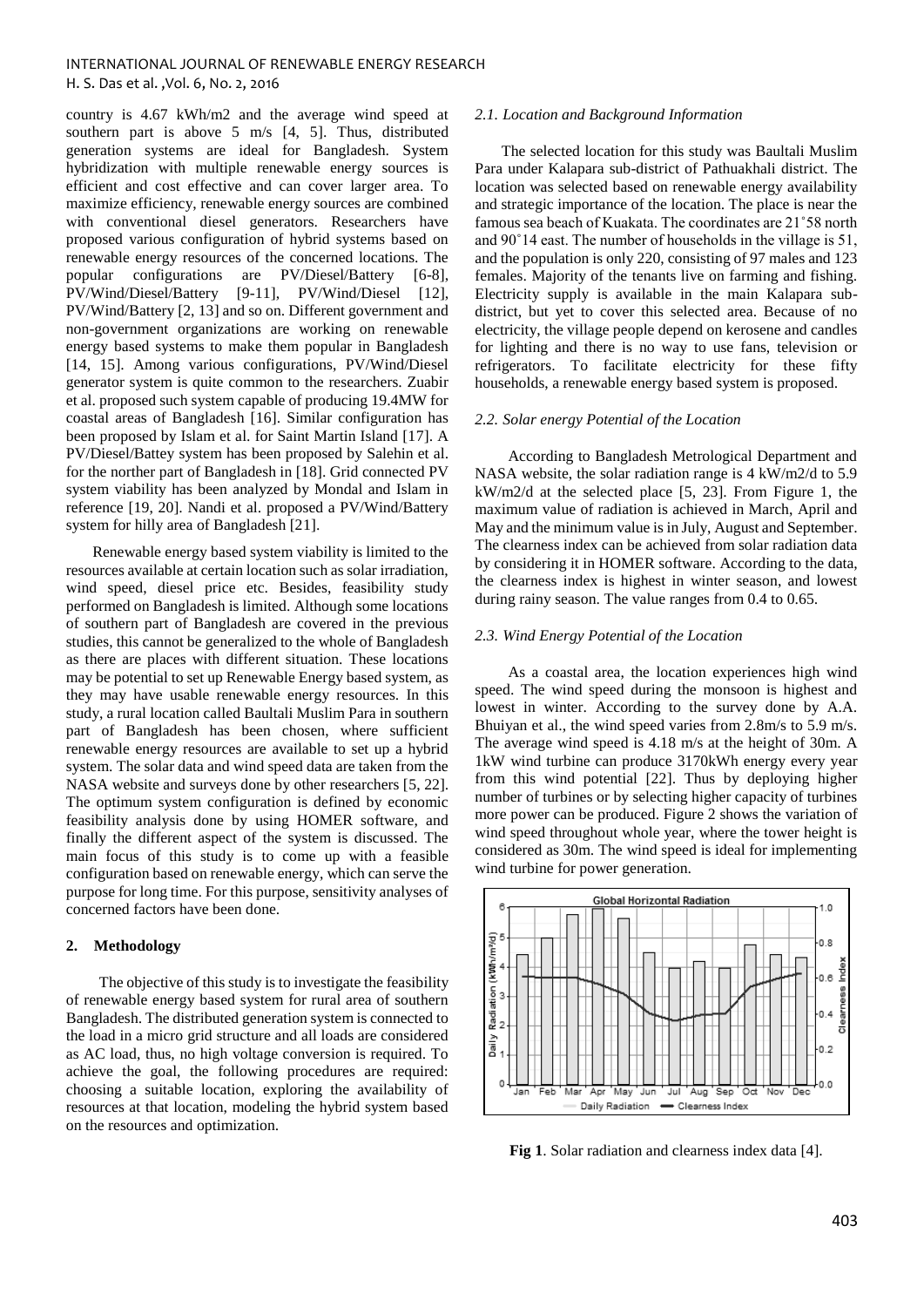country is 4.67 kWh/m2 and the average wind speed at southern part is above 5 m/s [4, 5]. Thus, distributed generation systems are ideal for Bangladesh. System hybridization with multiple renewable energy sources is efficient and cost effective and can cover larger area. To maximize efficiency, renewable energy sources are combined with conventional diesel generators. Researchers have proposed various configuration of hybrid systems based on renewable energy resources of the concerned locations. The popular configurations are PV/Diesel/Battery [6-8], PV/Wind/Diesel/Battery [9-11], PV/Wind/Diesel [12], PV/Wind/Battery [2, 13] and so on. Different government and non-government organizations are working on renewable energy based systems to make them popular in Bangladesh [14, 15]. Among various configurations, PV/Wind/Diesel generator system is quite common to the researchers. Zuabir et al. proposed such system capable of producing 19.4MW for coastal areas of Bangladesh [16]. Similar configuration has been proposed by Islam et al. for Saint Martin Island [17]. A PV/Diesel/Battey system has been proposed by Salehin et al. for the norther part of Bangladesh in [18]. Grid connected PV system viability has been analyzed by Mondal and Islam in reference [19, 20]. Nandi et al. proposed a PV/Wind/Battery system for hilly area of Bangladesh [21].

Renewable energy based system viability is limited to the resources available at certain location such as solar irradiation, wind speed, diesel price etc. Besides, feasibility study performed on Bangladesh is limited. Although some locations of southern part of Bangladesh are covered in the previous studies, this cannot be generalized to the whole of Bangladesh as there are places with different situation. These locations may be potential to set up Renewable Energy based system, as they may have usable renewable energy resources. In this study, a rural location called Baultali Muslim Para in southern part of Bangladesh has been chosen, where sufficient renewable energy resources are available to set up a hybrid system. The solar data and wind speed data are taken from the NASA website and surveys done by other researchers [5, 22]. The optimum system configuration is defined by economic feasibility analysis done by using HOMER software, and finally the different aspect of the system is discussed. The main focus of this study is to come up with a feasible configuration based on renewable energy, which can serve the purpose for long time. For this purpose, sensitivity analyses of concerned factors have been done.

## **2. Methodology**

The objective of this study is to investigate the feasibility of renewable energy based system for rural area of southern Bangladesh. The distributed generation system is connected to the load in a micro grid structure and all loads are considered as AC load, thus, no high voltage conversion is required. To achieve the goal, the following procedures are required: choosing a suitable location, exploring the availability of resources at that location, modeling the hybrid system based on the resources and optimization.

## *2.1. Location and Background Information*

The selected location for this study was Baultali Muslim Para under Kalapara sub-district of Pathuakhali district. The location was selected based on renewable energy availability and strategic importance of the location. The place is near the famous sea beach of Kuakata. The coordinates are 21˚58 north and 90˚14 east. The number of households in the village is 51, and the population is only 220, consisting of 97 males and 123 females. Majority of the tenants live on farming and fishing. Electricity supply is available in the main Kalapara subdistrict, but yet to cover this selected area. Because of no electricity, the village people depend on kerosene and candles for lighting and there is no way to use fans, television or refrigerators. To facilitate electricity for these fifty households, a renewable energy based system is proposed.

# *2.2. Solar energy Potential of the Location*

According to Bangladesh Metrological Department and NASA website, the solar radiation range is 4 kW/m2/d to 5.9 kW/m2/d at the selected place [5, 23]. From Figure 1, the maximum value of radiation is achieved in March, April and May and the minimum value is in July, August and September. The clearness index can be achieved from solar radiation data by considering it in HOMER software. According to the data, the clearness index is highest in winter season, and lowest during rainy season. The value ranges from 0.4 to 0.65.

## *2.3. Wind Energy Potential of the Location*

As a coastal area, the location experiences high wind speed. The wind speed during the monsoon is highest and lowest in winter. According to the survey done by A.A. Bhuiyan et al., the wind speed varies from 2.8m/s to 5.9 m/s. The average wind speed is 4.18 m/s at the height of 30m. A 1kW wind turbine can produce 3170kWh energy every year from this wind potential [22]. Thus by deploying higher number of turbines or by selecting higher capacity of turbines more power can be produced. Figure 2 shows the variation of wind speed throughout whole year, where the tower height is considered as 30m. The wind speed is ideal for implementing wind turbine for power generation.



**Fig 1**. Solar radiation and clearness index data [4].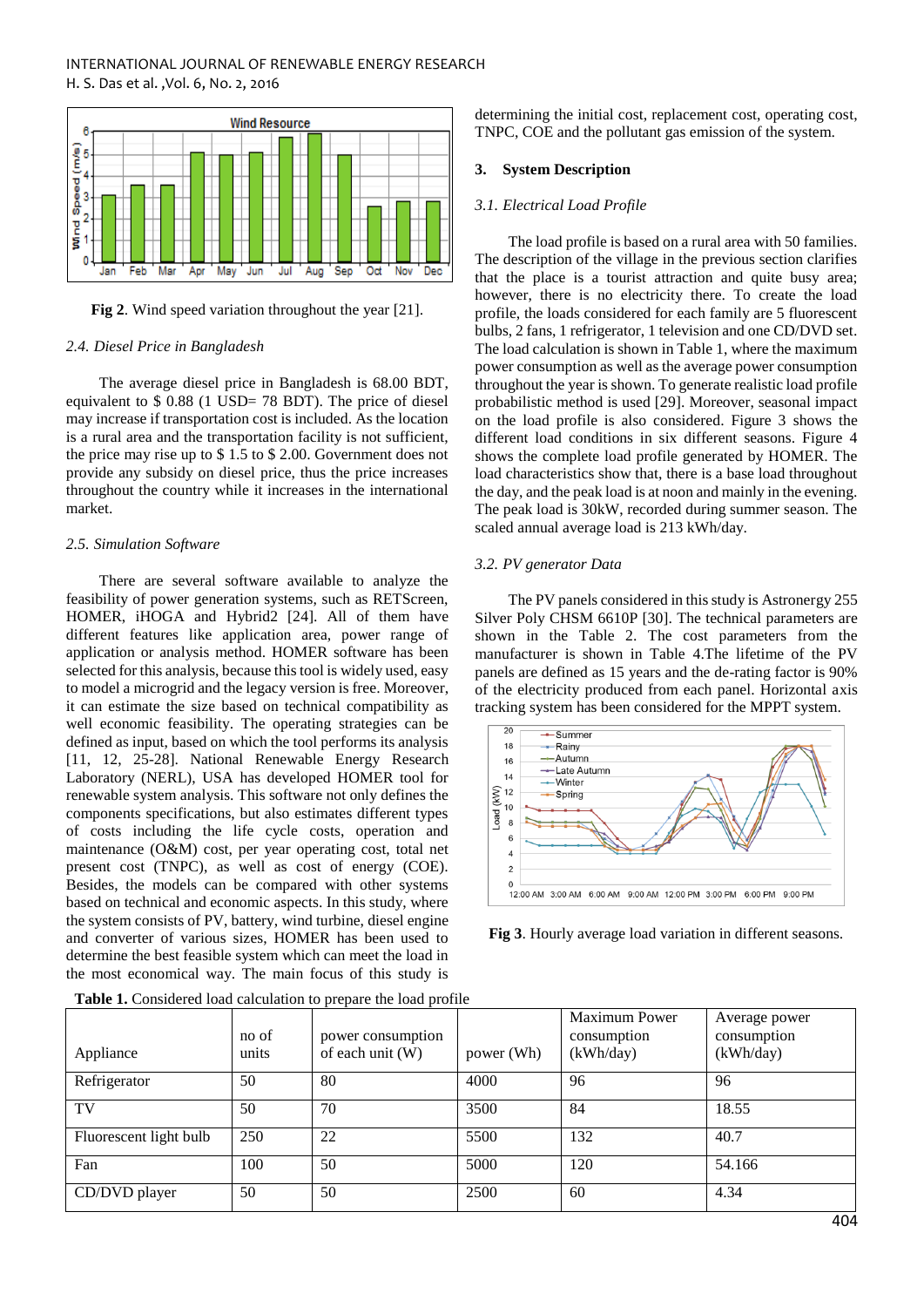

**Fig 2**. Wind speed variation throughout the year [21].

## *2.4. Diesel Price in Bangladesh*

The average diesel price in Bangladesh is 68.00 BDT, equivalent to \$ 0.88 (1 USD= 78 BDT). The price of diesel may increase if transportation cost is included. As the location is a rural area and the transportation facility is not sufficient, the price may rise up to \$ 1.5 to \$ 2.00. Government does not provide any subsidy on diesel price, thus the price increases throughout the country while it increases in the international market.

## *2.5. Simulation Software*

There are several software available to analyze the feasibility of power generation systems, such as RETScreen, HOMER, iHOGA and Hybrid2 [24]. All of them have different features like application area, power range of application or analysis method. HOMER software has been selected for this analysis, because this tool is widely used, easy to model a microgrid and the legacy version is free. Moreover, it can estimate the size based on technical compatibility as well economic feasibility. The operating strategies can be defined as input, based on which the tool performs its analysis [11, 12, 25-28]. National Renewable Energy Research Laboratory (NERL), USA has developed HOMER tool for renewable system analysis. This software not only defines the components specifications, but also estimates different types of costs including the life cycle costs, operation and maintenance (O&M) cost, per year operating cost, total net present cost (TNPC), as well as cost of energy (COE). Besides, the models can be compared with other systems based on technical and economic aspects. In this study, where the system consists of PV, battery, wind turbine, diesel engine and converter of various sizes, HOMER has been used to determine the best feasible system which can meet the load in the most economical way. The main focus of this study is determining the initial cost, replacement cost, operating cost, TNPC, COE and the pollutant gas emission of the system.

## **3. System Description**

## *3.1. Electrical Load Profile*

The load profile is based on a rural area with 50 families. The description of the village in the previous section clarifies that the place is a tourist attraction and quite busy area; however, there is no electricity there. To create the load profile, the loads considered for each family are 5 fluorescent bulbs, 2 fans, 1 refrigerator, 1 television and one CD/DVD set. The load calculation is shown in Table 1, where the maximum power consumption as well as the average power consumption throughout the year is shown. To generate realistic load profile probabilistic method is used [29]. Moreover, seasonal impact on the load profile is also considered. Figure 3 shows the different load conditions in six different seasons. Figure 4 shows the complete load profile generated by HOMER. The load characteristics show that, there is a base load throughout the day, and the peak load is at noon and mainly in the evening. The peak load is 30kW, recorded during summer season. The scaled annual average load is 213 kWh/day.

## *3.2. PV generator Data*

The PV panels considered in this study is Astronergy 255 Silver Poly CHSM 6610P [30]. The technical parameters are shown in the Table 2. The cost parameters from the manufacturer is shown in Table 4.The lifetime of the PV panels are defined as 15 years and the de-rating factor is 90% of the electricity produced from each panel. Horizontal axis tracking system has been considered for the MPPT system.



**Fig 3**. Hourly average load variation in different seasons.

| Appliance              | no of<br>units | power consumption<br>of each unit (W) | power (Wh) | <b>Maximum Power</b><br>consumption<br>(kWh/day) | Average power<br>consumption<br>(kWh/day) |
|------------------------|----------------|---------------------------------------|------------|--------------------------------------------------|-------------------------------------------|
| Refrigerator           | 50             | 80                                    | 4000       | 96                                               | 96                                        |
| TV                     | 50             | 70                                    | 3500       | 84                                               | 18.55                                     |
| Fluorescent light bulb | 250            | 22                                    | 5500       | 132                                              | 40.7                                      |
| Fan                    | 100            | 50                                    | 5000       | 120                                              | 54.166                                    |
| CD/DVD player          | 50             | 50                                    | 2500       | 60                                               | 4.34                                      |

**Table 1.** Considered load calculation to prepare the load profile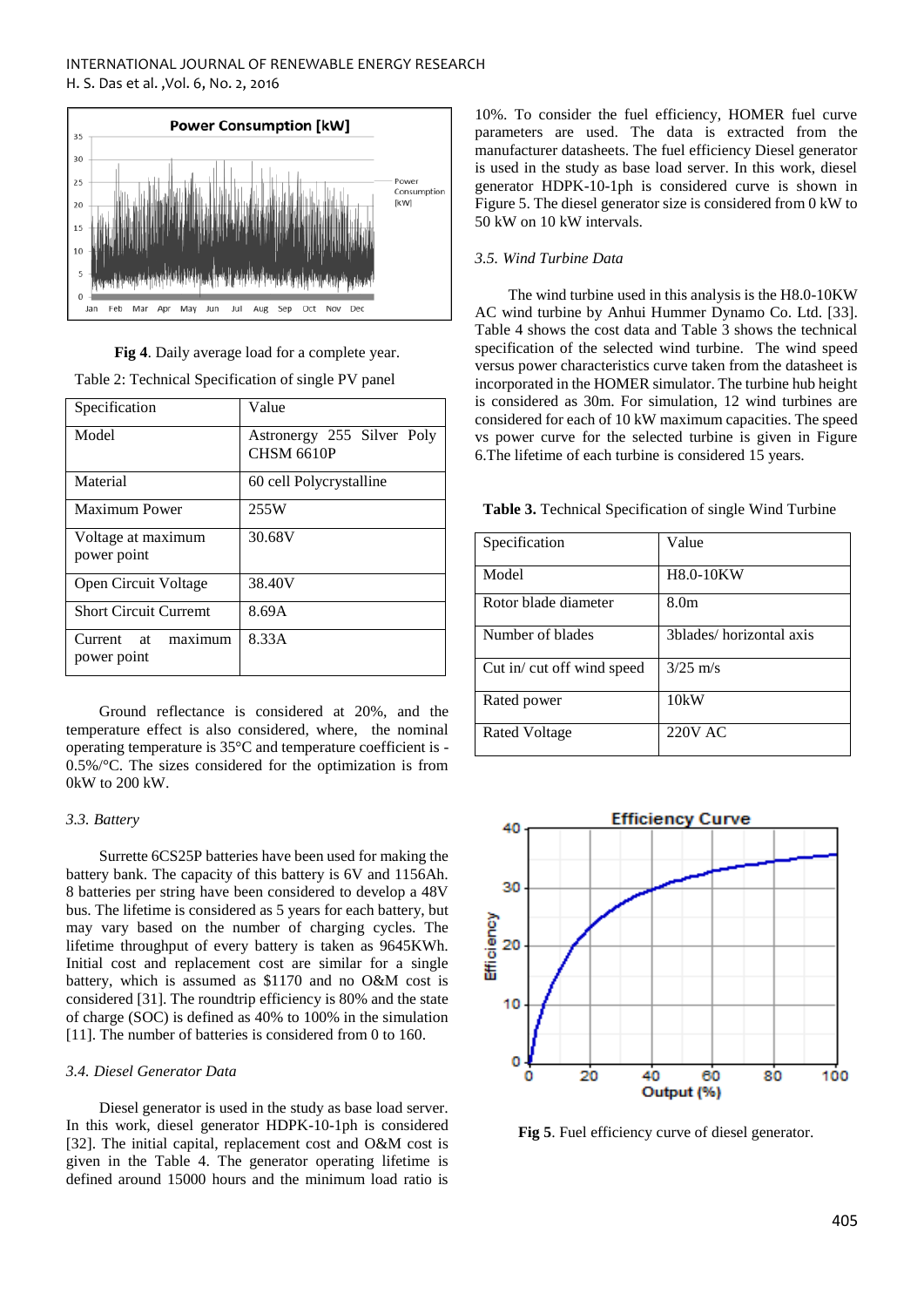

**Fig 4**. Daily average load for a complete year.

Table 2: Technical Specification of single PV panel

| Specification                | Value                      |
|------------------------------|----------------------------|
| Model                        | Astronergy 255 Silver Poly |
|                              | <b>CHSM 6610P</b>          |
| Material                     | 60 cell Polycrystalline    |
| <b>Maximum Power</b>         | 255W                       |
| Voltage at maximum           | 30.68V                     |
| power point                  |                            |
| Open Circuit Voltage         | 38.40V                     |
| <b>Short Circuit Curremt</b> | 8.69A                      |
| maximum<br>Current at        | 8.33A                      |
| power point                  |                            |

Ground reflectance is considered at 20%, and the temperature effect is also considered, where, the nominal operating temperature is 35°C and temperature coefficient is - 0.5%/°C. The sizes considered for the optimization is from 0kW to 200 kW.

# *3.3. Battery*

Surrette 6CS25P batteries have been used for making the battery bank. The capacity of this battery is 6V and 1156Ah. 8 batteries per string have been considered to develop a 48V bus. The lifetime is considered as 5 years for each battery, but may vary based on the number of charging cycles. The lifetime throughput of every battery is taken as 9645KWh. Initial cost and replacement cost are similar for a single battery, which is assumed as \$1170 and no O&M cost is considered [31]. The roundtrip efficiency is 80% and the state of charge (SOC) is defined as 40% to 100% in the simulation [11]. The number of batteries is considered from 0 to 160.

# *3.4. Diesel Generator Data*

Diesel generator is used in the study as base load server. In this work, diesel generator HDPK-10-1ph is considered [32]. The initial capital, replacement cost and O&M cost is given in the Table 4. The generator operating lifetime is defined around 15000 hours and the minimum load ratio is

10%. To consider the fuel efficiency, HOMER fuel curve parameters are used. The data is extracted from the manufacturer datasheets. The fuel efficiency Diesel generator is used in the study as base load server. In this work, diesel generator HDPK-10-1ph is considered curve is shown in Figure 5. The diesel generator size is considered from 0 kW to 50 kW on 10 kW intervals.

# *3.5. Wind Turbine Data*

The wind turbine used in this analysis is the H8.0-10KW AC wind turbine by Anhui Hummer Dynamo Co. Ltd. [33]. Table 4 shows the cost data and Table 3 shows the technical specification of the selected wind turbine. The wind speed versus power characteristics curve taken from the datasheet is incorporated in the HOMER simulator. The turbine hub height is considered as 30m. For simulation, 12 wind turbines are considered for each of 10 kW maximum capacities. The speed vs power curve for the selected turbine is given in Figure 6.The lifetime of each turbine is considered 15 years.

| Specification             | Value                   |
|---------------------------|-------------------------|
| Model                     | <b>H8.0-10KW</b>        |
| Rotor blade diameter      | 8.0 <sub>m</sub>        |
| Number of blades          | 3blades/horizontal axis |
| Cut in cut off wind speed | $3/25$ m/s              |
| Rated power               | 10kW                    |
| Rated Voltage             | 220V AC                 |

**Table 3.** Technical Specification of single Wind Turbine



**Fig 5**. Fuel efficiency curve of diesel generator.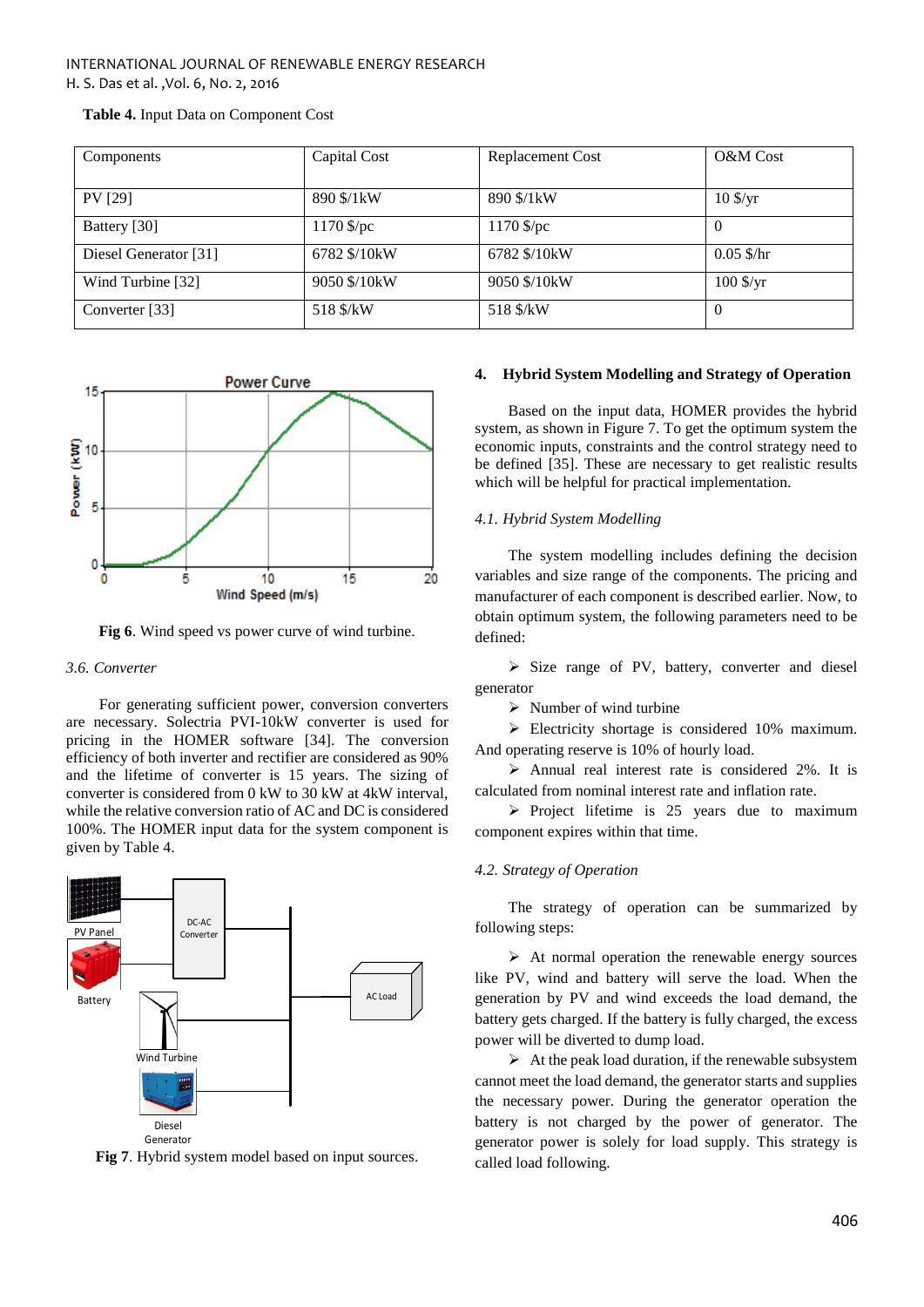| Components            | Capital Cost | <b>Replacement Cost</b> | O&M Cost                         |
|-----------------------|--------------|-------------------------|----------------------------------|
| <b>PV</b> [29]        | 890 \$/1 kW  | 890 \$/1 kW             | $10 \frac{\text{S}}{\text{yr}}$  |
| Battery [30]          | $1170$ \$/pc | $1170$ \$/pc            | $\Omega$                         |
| Diesel Generator [31] | 6782 \$/10kW | 6782 \$/10kW            | $0.05$ \$/hr                     |
| Wind Turbine [32]     | 9050 \$/10kW | 9050 \$/10 kW           | $100 \frac{\text{S}}{\text{yr}}$ |
| Converter [33]        | 518 \$/kW    | 518 \$/kW               | $\Omega$                         |

**Table 4.** Input Data on Component Cost



**Fig 6**. Wind speed vs power curve of wind turbine.

## *3.6. Converter*

For generating sufficient power, conversion converters are necessary. Solectria PVI-10kW converter is used for pricing in the HOMER software [34]. The conversion efficiency of both inverter and rectifier are considered as 90% and the lifetime of converter is 15 years. The sizing of converter is considered from 0 kW to 30 kW at 4kW interval, while the relative conversion ratio of AC and DC is considered 100%. The HOMER input data for the system component is given by Table 4.



**Fig 7**. Hybrid system model based on input sources.

#### **4. Hybrid System Modelling and Strategy of Operation**

Based on the input data, HOMER provides the hybrid system, as shown in Figure 7. To get the optimum system the economic inputs, constraints and the control strategy need to be defined [35]. These are necessary to get realistic results which will be helpful for practical implementation.

# *4.1. Hybrid System Modelling*

The system modelling includes defining the decision variables and size range of the components. The pricing and manufacturer of each component is described earlier. Now, to obtain optimum system, the following parameters need to be defined:

 $\triangleright$  Size range of PV, battery, converter and diesel generator

 $\triangleright$  Number of wind turbine

Electricity shortage is considered 10% maximum. And operating reserve is 10% of hourly load.

 $\triangleright$  Annual real interest rate is considered 2%. It is calculated from nominal interest rate and inflation rate.

 $\triangleright$  Project lifetime is 25 years due to maximum component expires within that time.

## *4.2. Strategy of Operation*

The strategy of operation can be summarized by following steps:

 $\triangleright$  At normal operation the renewable energy sources like PV, wind and battery will serve the load. When the generation by PV and wind exceeds the load demand, the battery gets charged. If the battery is fully charged, the excess power will be diverted to dump load.

 $\triangleright$  At the peak load duration, if the renewable subsystem cannot meet the load demand, the generator starts and supplies the necessary power. During the generator operation the battery is not charged by the power of generator. The generator power is solely for load supply. This strategy is called load following.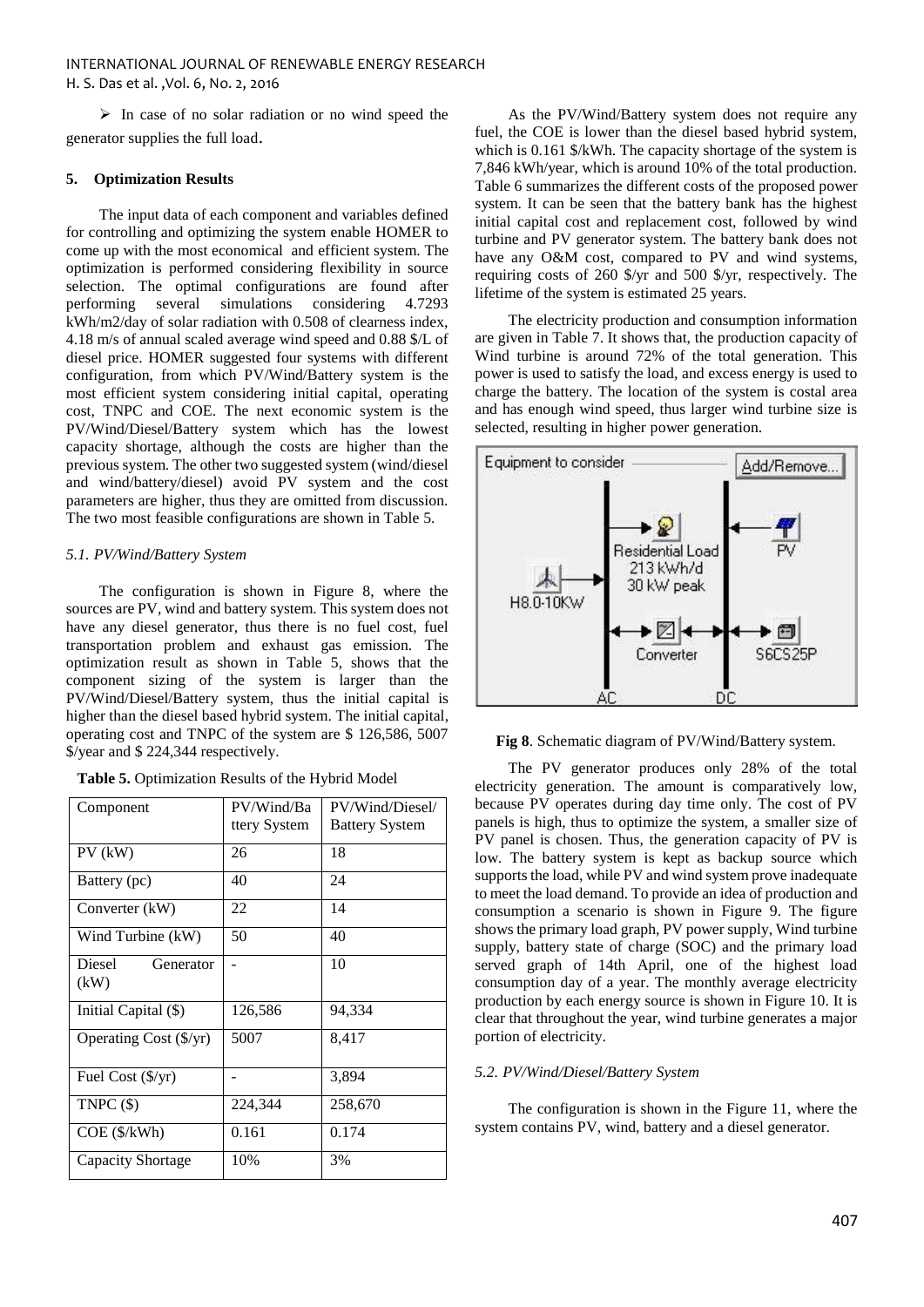$\triangleright$  In case of no solar radiation or no wind speed the generator supplies the full load.

# **5. Optimization Results**

The input data of each component and variables defined for controlling and optimizing the system enable HOMER to come up with the most economical and efficient system. The optimization is performed considering flexibility in source selection. The optimal configurations are found after performing several simulations considering 4.7293 kWh/m2/day of solar radiation with 0.508 of clearness index, 4.18 m/s of annual scaled average wind speed and 0.88 \$/L of diesel price. HOMER suggested four systems with different configuration, from which PV/Wind/Battery system is the most efficient system considering initial capital, operating cost, TNPC and COE. The next economic system is the PV/Wind/Diesel/Battery system which has the lowest capacity shortage, although the costs are higher than the previous system. The other two suggested system (wind/diesel and wind/battery/diesel) avoid PV system and the cost parameters are higher, thus they are omitted from discussion. The two most feasible configurations are shown in Table 5.

# *5.1. PV/Wind/Battery System*

The configuration is shown in Figure 8, where the sources are PV, wind and battery system. This system does not have any diesel generator, thus there is no fuel cost, fuel transportation problem and exhaust gas emission. The optimization result as shown in Table 5, shows that the component sizing of the system is larger than the PV/Wind/Diesel/Battery system, thus the initial capital is higher than the diesel based hybrid system. The initial capital, operating cost and TNPC of the system are \$ 126,586, 5007 \$/year and \$ 224,344 respectively.

|  | Table 5. Optimization Results of the Hybrid Model |  |  |  |
|--|---------------------------------------------------|--|--|--|
|--|---------------------------------------------------|--|--|--|

| Component                      | PV/Wind/Ba<br>ttery System | PV/Wind/Diesel/<br><b>Battery System</b> |
|--------------------------------|----------------------------|------------------------------------------|
| $PV$ ( $kW$ )                  | 26                         | 18                                       |
| Battery (pc)                   | 40                         | 24                                       |
| Converter (kW)                 | 22                         | 14                                       |
| Wind Turbine (kW)              | 50                         | 40                                       |
| Diesel<br>Generator<br>(kW)    |                            | 10                                       |
| Initial Capital (\$)           | 126,586                    | 94,334                                   |
| Operating Cost $(\frac{f}{y})$ | 5007                       | 8,417                                    |
| Fuel Cost $(\frac{5}{yr})$     |                            | 3,894                                    |
| TNPC $($ \$)                   | 224,344                    | 258,670                                  |
| $COE$ ( $\frac{\sqrt{2}}{N}$ ) | 0.161                      | 0.174                                    |
| Capacity Shortage              | 10%                        | 3%                                       |

As the PV/Wind/Battery system does not require any fuel, the COE is lower than the diesel based hybrid system, which is 0.161 \$/kWh. The capacity shortage of the system is 7,846 kWh/year, which is around 10% of the total production. Table 6 summarizes the different costs of the proposed power system. It can be seen that the battery bank has the highest initial capital cost and replacement cost, followed by wind turbine and PV generator system. The battery bank does not have any O&M cost, compared to PV and wind systems, requiring costs of 260 \$/yr and 500 \$/yr, respectively. The lifetime of the system is estimated 25 years.

The electricity production and consumption information are given in Table 7. It shows that, the production capacity of Wind turbine is around 72% of the total generation. This power is used to satisfy the load, and excess energy is used to charge the battery. The location of the system is costal area and has enough wind speed, thus larger wind turbine size is selected, resulting in higher power generation.



**Fig 8**. Schematic diagram of PV/Wind/Battery system.

The PV generator produces only 28% of the total electricity generation. The amount is comparatively low, because PV operates during day time only. The cost of PV panels is high, thus to optimize the system, a smaller size of PV panel is chosen. Thus, the generation capacity of PV is low. The battery system is kept as backup source which supports the load, while PV and wind system prove inadequate to meet the load demand. To provide an idea of production and consumption a scenario is shown in Figure 9. The figure shows the primary load graph, PV power supply, Wind turbine supply, battery state of charge (SOC) and the primary load served graph of 14th April, one of the highest load consumption day of a year. The monthly average electricity production by each energy source is shown in Figure 10. It is clear that throughout the year, wind turbine generates a major portion of electricity.

## *5.2. PV/Wind/Diesel/Battery System*

The configuration is shown in the Figure 11, where the system contains PV, wind, battery and a diesel generator.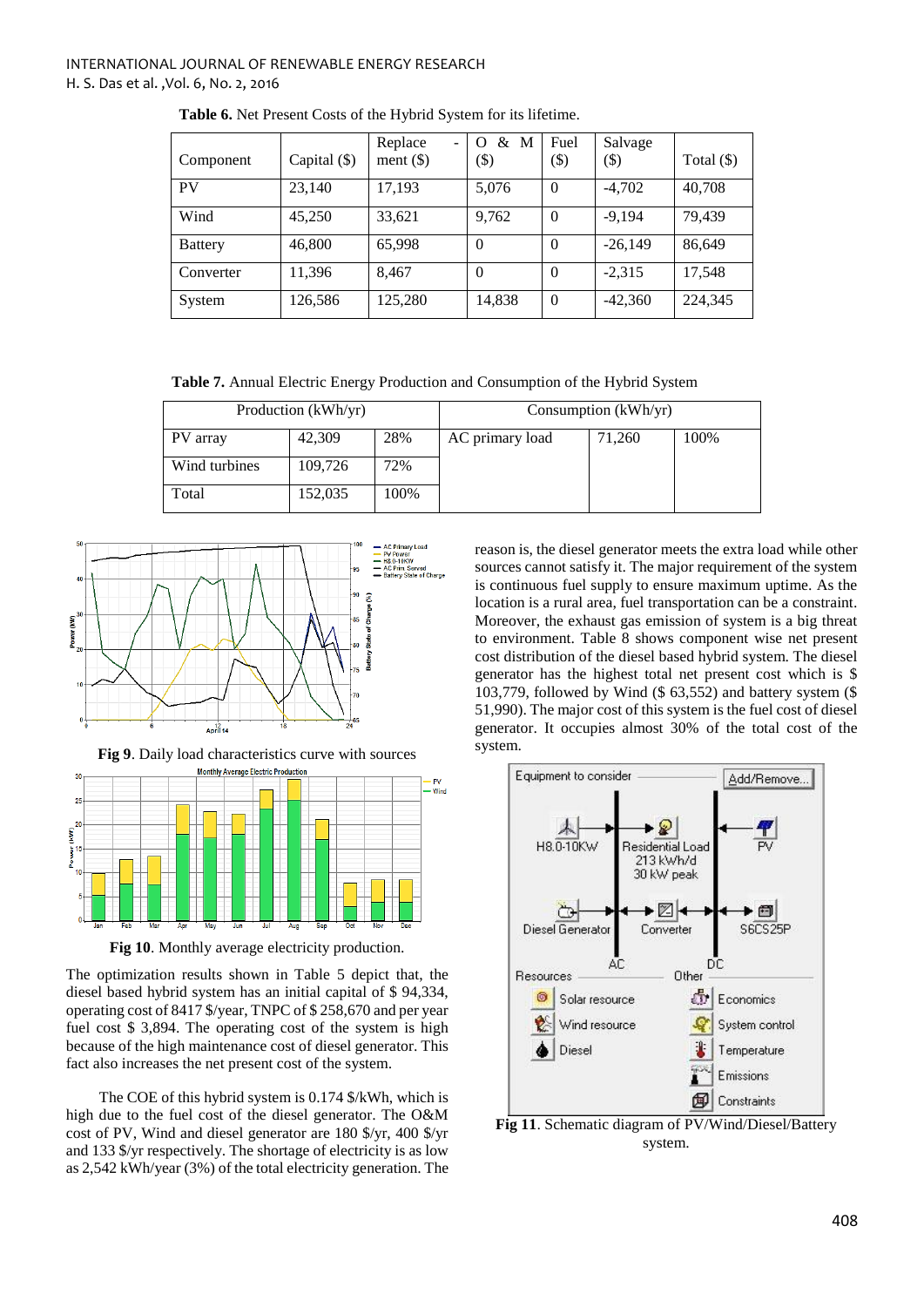| Component      | Capital (\$) | Replace<br>ment $(\$)$ | & M<br>$\Omega$<br>$\left( \text{\$}\right)$ | Fuel<br>$(\$)$ | Salvage<br>\$) | Total $(\$)$ |
|----------------|--------------|------------------------|----------------------------------------------|----------------|----------------|--------------|
| PV             | 23,140       | 17,193                 | 5,076                                        | $\Omega$       | $-4,702$       | 40,708       |
| Wind           | 45,250       | 33,621                 | 9,762                                        | $\theta$       | $-9.194$       | 79,439       |
| <b>Battery</b> | 46,800       | 65,998                 | $\Omega$                                     | $\Omega$       | $-26,149$      | 86,649       |
| Converter      | 11,396       | 8.467                  | $\Omega$                                     | $\Omega$       | $-2,315$       | 17,548       |
| System         | 126,586      | 125,280                | 14,838                                       | $\Omega$       | $-42,360$      | 224,345      |

**Table 6.** Net Present Costs of the Hybrid System for its lifetime.

**Table 7.** Annual Electric Energy Production and Consumption of the Hybrid System

| Production (kWh/yr) |         |      |                 | Consumption (kWh/yr) |      |
|---------------------|---------|------|-----------------|----------------------|------|
| PV array            | 42,309  | 28%  | AC primary load | 71,260               | 100% |
| Wind turbines       | 109,726 | 72%  |                 |                      |      |
| Total               | 152,035 | 100% |                 |                      |      |



**Fig 9**. Daily load characteristics curve with sources



**Fig 10**. Monthly average electricity production.

The optimization results shown in Table 5 depict that, the diesel based hybrid system has an initial capital of \$ 94,334, operating cost of 8417 \$/year, TNPC of \$ 258,670 and per year fuel cost \$ 3,894. The operating cost of the system is high because of the high maintenance cost of diesel generator. This fact also increases the net present cost of the system.

The COE of this hybrid system is 0.174 \$/kWh, which is high due to the fuel cost of the diesel generator. The O&M cost of PV, Wind and diesel generator are 180 \$/yr, 400 \$/yr and 133 \$/yr respectively. The shortage of electricity is as low as 2,542 kWh/year (3%) of the total electricity generation. The reason is, the diesel generator meets the extra load while other sources cannot satisfy it. The major requirement of the system is continuous fuel supply to ensure maximum uptime. As the location is a rural area, fuel transportation can be a constraint. Moreover, the exhaust gas emission of system is a big threat to environment. Table 8 shows component wise net present cost distribution of the diesel based hybrid system. The diesel generator has the highest total net present cost which is \$ 103,779, followed by Wind (\$ 63,552) and battery system (\$ 51,990). The major cost of this system is the fuel cost of diesel generator. It occupies almost 30% of the total cost of the system.



**Fig 11**. Schematic diagram of PV/Wind/Diesel/Battery system.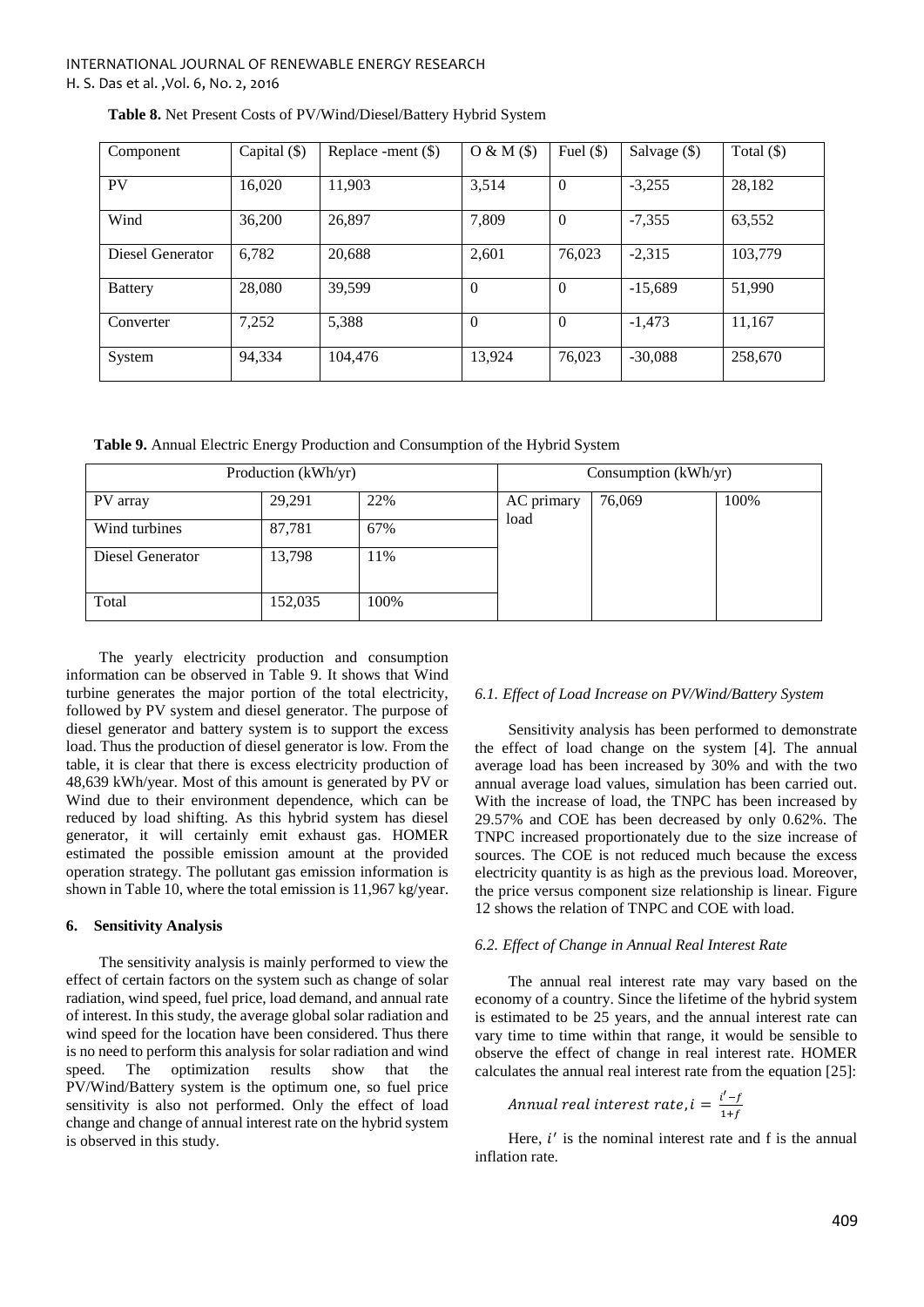| Component        | Capital $(\$)$ | Replace -ment $(\$)$ | O & M(S) | Fuel $(\$)$ | Salvage $(\$)$ | Total $(\$)$ |
|------------------|----------------|----------------------|----------|-------------|----------------|--------------|
| <b>PV</b>        | 16,020         | 11,903               | 3,514    | $\Omega$    | $-3,255$       | 28,182       |
| Wind             | 36,200         | 26,897               | 7,809    | $\Omega$    | $-7,355$       | 63,552       |
| Diesel Generator | 6,782          | 20,688               | 2,601    | 76,023      | $-2.315$       | 103,779      |
| <b>Battery</b>   | 28,080         | 39,599               | $\Omega$ | $\Omega$    | $-15,689$      | 51,990       |
| Converter        | 7,252          | 5,388                | $\Omega$ | $\Omega$    | $-1,473$       | 11,167       |
| System           | 94,334         | 104,476              | 13,924   | 76,023      | $-30,088$      | 258,670      |

|  | Table 8. Net Present Costs of PV/Wind/Diesel/Battery Hybrid System |  |
|--|--------------------------------------------------------------------|--|
|  |                                                                    |  |

**Table 9.** Annual Electric Energy Production and Consumption of the Hybrid System

| Production (kWh/yr) |         |      | Consumption (kWh/yr) |        |      |
|---------------------|---------|------|----------------------|--------|------|
| PV array            | 29,291  | 22%  | AC primary           | 76,069 | 100% |
| Wind turbines       | 87,781  | 67%  | load                 |        |      |
| Diesel Generator    | 13,798  | 11%  |                      |        |      |
| Total               | 152,035 | 100% |                      |        |      |

The yearly electricity production and consumption information can be observed in Table 9. It shows that Wind turbine generates the major portion of the total electricity, followed by PV system and diesel generator. The purpose of diesel generator and battery system is to support the excess load. Thus the production of diesel generator is low. From the table, it is clear that there is excess electricity production of 48,639 kWh/year. Most of this amount is generated by PV or Wind due to their environment dependence, which can be reduced by load shifting. As this hybrid system has diesel generator, it will certainly emit exhaust gas. HOMER estimated the possible emission amount at the provided operation strategy. The pollutant gas emission information is shown in Table 10, where the total emission is 11,967 kg/year.

# **6. Sensitivity Analysis**

The sensitivity analysis is mainly performed to view the effect of certain factors on the system such as change of solar radiation, wind speed, fuel price, load demand, and annual rate of interest. In this study, the average global solar radiation and wind speed for the location have been considered. Thus there is no need to perform this analysis for solar radiation and wind speed. The optimization results show that the PV/Wind/Battery system is the optimum one, so fuel price sensitivity is also not performed. Only the effect of load change and change of annual interest rate on the hybrid system is observed in this study.

# *6.1. Effect of Load Increase on PV/Wind/Battery System*

Sensitivity analysis has been performed to demonstrate the effect of load change on the system [4]. The annual average load has been increased by 30% and with the two annual average load values, simulation has been carried out. With the increase of load, the TNPC has been increased by 29.57% and COE has been decreased by only 0.62%. The TNPC increased proportionately due to the size increase of sources. The COE is not reduced much because the excess electricity quantity is as high as the previous load. Moreover, the price versus component size relationship is linear. Figure 12 shows the relation of TNPC and COE with load.

# *6.2. Effect of Change in Annual Real Interest Rate*

The annual real interest rate may vary based on the economy of a country. Since the lifetime of the hybrid system is estimated to be 25 years, and the annual interest rate can vary time to time within that range, it would be sensible to observe the effect of change in real interest rate. HOMER calculates the annual real interest rate from the equation [25]:

$$
Annual\ real\ interest\ rate, i = \frac{i'-f}{1+f}
$$

Here,  $i'$  is the nominal interest rate and f is the annual inflation rate.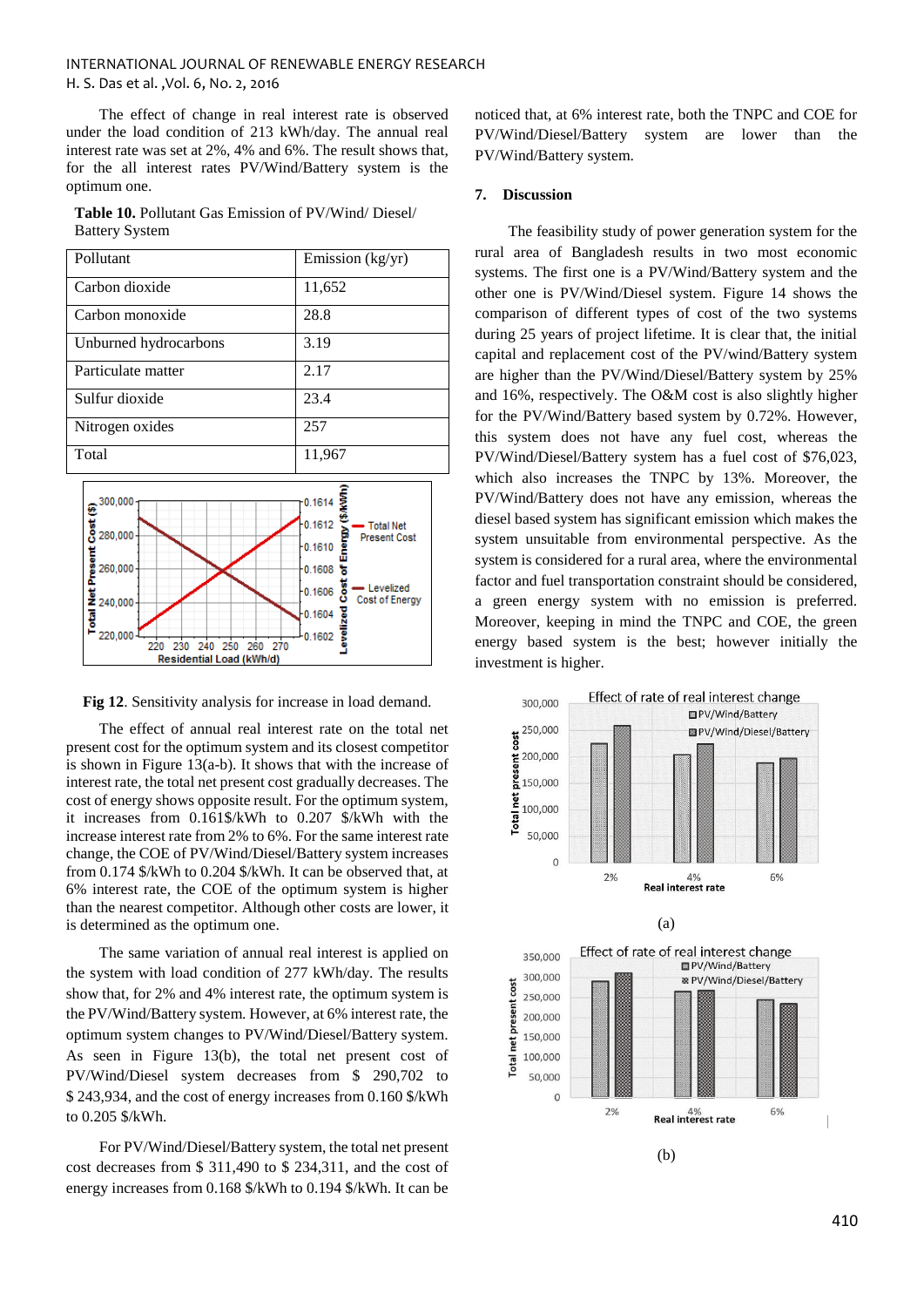The effect of change in real interest rate is observed under the load condition of 213 kWh/day. The annual real interest rate was set at 2%, 4% and 6%. The result shows that, for the all interest rates PV/Wind/Battery system is the optimum one.

**Table 10.** Pollutant Gas Emission of PV/Wind/ Diesel/ Battery System





**Fig 12**. Sensitivity analysis for increase in load demand.

The effect of annual real interest rate on the total net present cost for the optimum system and its closest competitor is shown in Figure 13(a-b). It shows that with the increase of interest rate, the total net present cost gradually decreases. The cost of energy shows opposite result. For the optimum system, it increases from 0.161\$/kWh to 0.207 \$/kWh with the increase interest rate from 2% to 6%. For the same interest rate change, the COE of PV/Wind/Diesel/Battery system increases from 0.174 \$/kWh to 0.204 \$/kWh. It can be observed that, at 6% interest rate, the COE of the optimum system is higher than the nearest competitor. Although other costs are lower, it is determined as the optimum one.

The same variation of annual real interest is applied on the system with load condition of 277 kWh/day. The results show that, for 2% and 4% interest rate, the optimum system is the PV/Wind/Battery system. However, at 6% interest rate, the optimum system changes to PV/Wind/Diesel/Battery system. As seen in Figure 13(b), the total net present cost of PV/Wind/Diesel system decreases from \$ 290,702 to \$ 243,934, and the cost of energy increases from 0.160 \$/kWh to 0.205 \$/kWh.

For PV/Wind/Diesel/Battery system, the total net present cost decreases from \$ 311,490 to \$ 234,311, and the cost of energy increases from 0.168 \$/kWh to 0.194 \$/kWh. It can be noticed that, at 6% interest rate, both the TNPC and COE for PV/Wind/Diesel/Battery system are lower than the PV/Wind/Battery system.

## **7. Discussion**

The feasibility study of power generation system for the rural area of Bangladesh results in two most economic systems. The first one is a PV/Wind/Battery system and the other one is PV/Wind/Diesel system. Figure 14 shows the comparison of different types of cost of the two systems during 25 years of project lifetime. It is clear that, the initial capital and replacement cost of the PV/wind/Battery system are higher than the PV/Wind/Diesel/Battery system by 25% and 16%, respectively. The O&M cost is also slightly higher for the PV/Wind/Battery based system by 0.72%. However, this system does not have any fuel cost, whereas the PV/Wind/Diesel/Battery system has a fuel cost of \$76,023, which also increases the TNPC by 13%. Moreover, the PV/Wind/Battery does not have any emission, whereas the diesel based system has significant emission which makes the system unsuitable from environmental perspective. As the system is considered for a rural area, where the environmental factor and fuel transportation constraint should be considered, a green energy system with no emission is preferred. Moreover, keeping in mind the TNPC and COE, the green energy based system is the best; however initially the investment is higher.

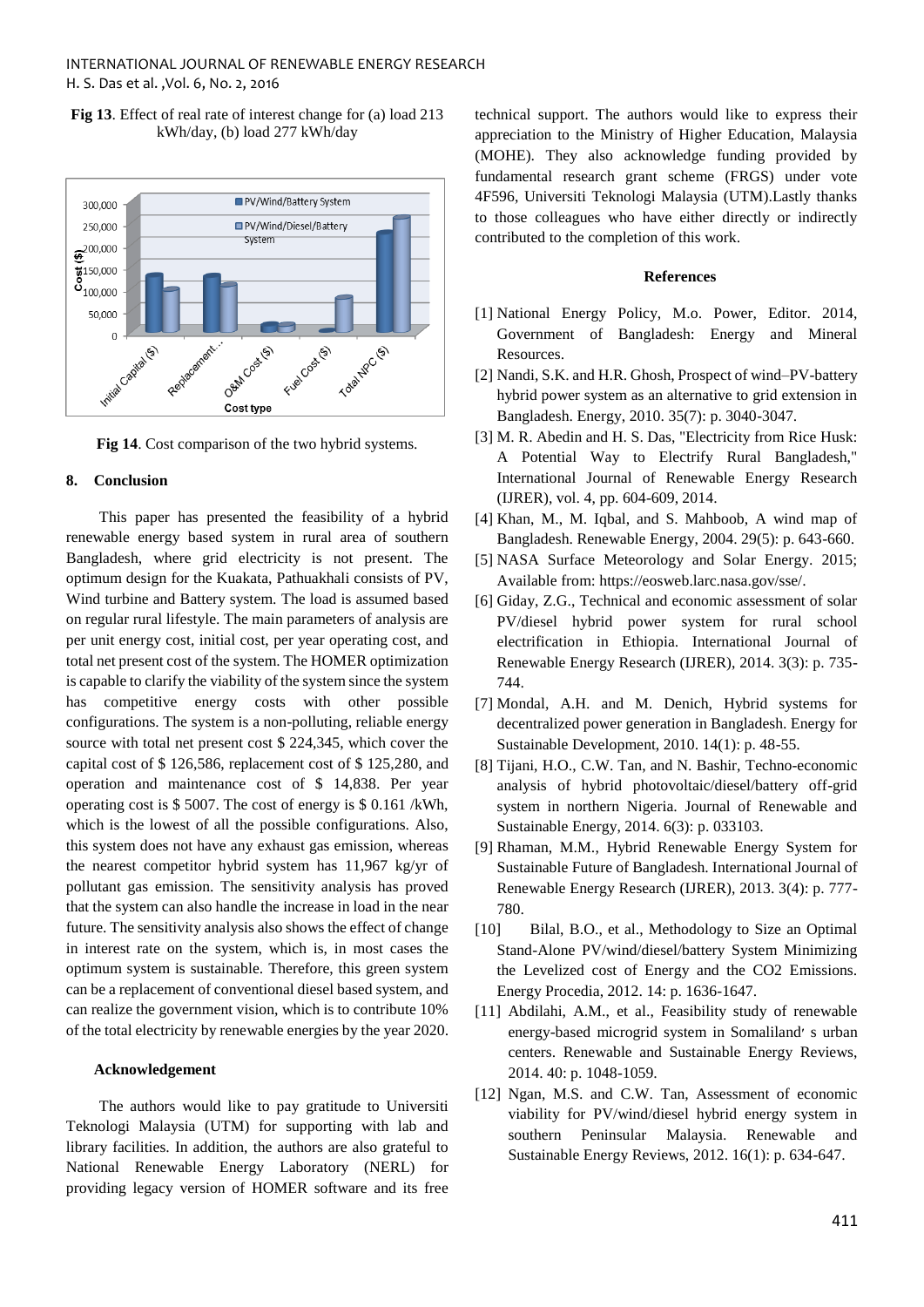**Fig 13**. Effect of real rate of interest change for (a) load 213 kWh/day, (b) load 277 kWh/day



**Fig 14**. Cost comparison of the two hybrid systems.

## **8. Conclusion**

This paper has presented the feasibility of a hybrid renewable energy based system in rural area of southern Bangladesh, where grid electricity is not present. The optimum design for the Kuakata, Pathuakhali consists of PV, Wind turbine and Battery system. The load is assumed based on regular rural lifestyle. The main parameters of analysis are per unit energy cost, initial cost, per year operating cost, and total net present cost of the system. The HOMER optimization is capable to clarify the viability of the system since the system has competitive energy costs with other possible configurations. The system is a non-polluting, reliable energy source with total net present cost \$ 224,345, which cover the capital cost of \$ 126,586, replacement cost of \$ 125,280, and operation and maintenance cost of \$ 14,838. Per year operating cost is \$ 5007. The cost of energy is \$ 0.161 /kWh, which is the lowest of all the possible configurations. Also, this system does not have any exhaust gas emission, whereas the nearest competitor hybrid system has 11,967 kg/yr of pollutant gas emission. The sensitivity analysis has proved that the system can also handle the increase in load in the near future. The sensitivity analysis also shows the effect of change in interest rate on the system, which is, in most cases the optimum system is sustainable. Therefore, this green system can be a replacement of conventional diesel based system, and can realize the government vision, which is to contribute 10% of the total electricity by renewable energies by the year 2020.

# **Acknowledgement**

The authors would like to pay gratitude to Universiti Teknologi Malaysia (UTM) for supporting with lab and library facilities. In addition, the authors are also grateful to National Renewable Energy Laboratory (NERL) for providing legacy version of HOMER software and its free technical support. The authors would like to express their appreciation to the Ministry of Higher Education, Malaysia (MOHE). They also acknowledge funding provided by fundamental research grant scheme (FRGS) under vote 4F596, Universiti Teknologi Malaysia (UTM).Lastly thanks to those colleagues who have either directly or indirectly contributed to the completion of this work.

## **References**

- [1] National Energy Policy, M.o. Power, Editor. 2014, Government of Bangladesh: Energy and Mineral Resources.
- [2] Nandi, S.K. and H.R. Ghosh, Prospect of wind–PV-battery hybrid power system as an alternative to grid extension in Bangladesh. Energy, 2010. 35(7): p. 3040-3047.
- [3] M. R. Abedin and H. S. Das, "Electricity from Rice Husk: A Potential Way to Electrify Rural Bangladesh," International Journal of Renewable Energy Research (IJRER), vol. 4, pp. 604-609, 2014.
- [4] Khan, M., M. Iqbal, and S. Mahboob, A wind map of Bangladesh. Renewable Energy, 2004. 29(5): p. 643-660.
- [5] NASA Surface Meteorology and Solar Energy. 2015; Available from: https://eosweb.larc.nasa.gov/sse/.
- [6] Giday, Z.G., Technical and economic assessment of solar PV/diesel hybrid power system for rural school electrification in Ethiopia. International Journal of Renewable Energy Research (IJRER), 2014. 3(3): p. 735- 744.
- [7] Mondal, A.H. and M. Denich, Hybrid systems for decentralized power generation in Bangladesh. Energy for Sustainable Development, 2010. 14(1): p. 48-55.
- [8] Tijani, H.O., C.W. Tan, and N. Bashir, Techno-economic analysis of hybrid photovoltaic/diesel/battery off-grid system in northern Nigeria. Journal of Renewable and Sustainable Energy, 2014. 6(3): p. 033103.
- [9] Rhaman, M.M., Hybrid Renewable Energy System for Sustainable Future of Bangladesh. International Journal of Renewable Energy Research (IJRER), 2013. 3(4): p. 777- 780.
- [10] Bilal, B.O., et al., Methodology to Size an Optimal Stand-Alone PV/wind/diesel/battery System Minimizing the Levelized cost of Energy and the CO2 Emissions. Energy Procedia, 2012. 14: p. 1636-1647.
- [11] Abdilahi, A.M., et al., Feasibility study of renewable energy-based microgrid system in Somaliland׳ s urban centers. Renewable and Sustainable Energy Reviews, 2014. 40: p. 1048-1059.
- [12] Ngan, M.S. and C.W. Tan, Assessment of economic viability for PV/wind/diesel hybrid energy system in southern Peninsular Malaysia. Renewable and Sustainable Energy Reviews, 2012. 16(1): p. 634-647.